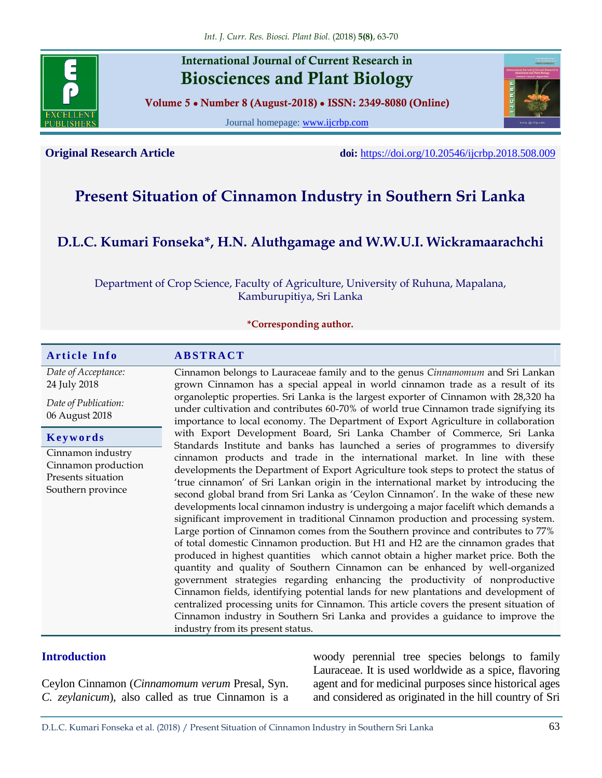

## **International Journal of Current Research in Biosciences and Plant Biology**

**Volume 5 ● Number 8 (August-2018) ● ISSN: 2349-8080 (Online)**

Journal homepage: [www.ijcrbp.com](http://www.ijcrbp.com/)



**Original Research Article doi:** <https://doi.org/10.20546/ijcrbp.2018.508.009>

# **Present Situation of Cinnamon Industry in Southern Sri Lanka**

# **D.L.C. Kumari Fonseka\*, H.N. Aluthgamage and W.W.U.I. Wickramaarachchi**

Department of Crop Science, Faculty of Agriculture, University of Ruhuna, Mapalana, Kamburupitiya, Sri Lanka

**\*Corresponding author.**

| <b>Article Info</b>                                                                 | <b>ABSTRACT</b>                                                                                                                                                                                                                                                                                                                                                                                                                                                                                                                                                                                                                                                                                                                                                                                                                                                                                                                                                                                                                                                                                                                                                                                                                                                     |  |  |  |
|-------------------------------------------------------------------------------------|---------------------------------------------------------------------------------------------------------------------------------------------------------------------------------------------------------------------------------------------------------------------------------------------------------------------------------------------------------------------------------------------------------------------------------------------------------------------------------------------------------------------------------------------------------------------------------------------------------------------------------------------------------------------------------------------------------------------------------------------------------------------------------------------------------------------------------------------------------------------------------------------------------------------------------------------------------------------------------------------------------------------------------------------------------------------------------------------------------------------------------------------------------------------------------------------------------------------------------------------------------------------|--|--|--|
| Date of Acceptance:<br>24 July 2018                                                 | Cinnamon belongs to Lauraceae family and to the genus Cinnamomum and Sri Lankan<br>grown Cinnamon has a special appeal in world cinnamon trade as a result of its                                                                                                                                                                                                                                                                                                                                                                                                                                                                                                                                                                                                                                                                                                                                                                                                                                                                                                                                                                                                                                                                                                   |  |  |  |
| Date of Publication:<br>06 August 2018                                              | organoleptic properties. Sri Lanka is the largest exporter of Cinnamon with 28,320 ha<br>under cultivation and contributes 60-70% of world true Cinnamon trade signifying its<br>importance to local economy. The Department of Export Agriculture in collaboration                                                                                                                                                                                                                                                                                                                                                                                                                                                                                                                                                                                                                                                                                                                                                                                                                                                                                                                                                                                                 |  |  |  |
| Keywords                                                                            | with Export Development Board, Sri Lanka Chamber of Commerce, Sri Lanka<br>Standards Institute and banks has launched a series of programmes to diversify                                                                                                                                                                                                                                                                                                                                                                                                                                                                                                                                                                                                                                                                                                                                                                                                                                                                                                                                                                                                                                                                                                           |  |  |  |
| Cinnamon industry<br>Cinnamon production<br>Presents situation<br>Southern province | cinnamon products and trade in the international market. In line with these<br>developments the Department of Export Agriculture took steps to protect the status of<br>'true cinnamon' of Sri Lankan origin in the international market by introducing the<br>second global brand from Sri Lanka as 'Ceylon Cinnamon'. In the wake of these new<br>developments local cinnamon industry is undergoing a major facelift which demands a<br>significant improvement in traditional Cinnamon production and processing system.<br>Large portion of Cinnamon comes from the Southern province and contributes to 77%<br>of total domestic Cinnamon production. But H1 and H2 are the cinnamon grades that<br>produced in highest quantities which cannot obtain a higher market price. Both the<br>quantity and quality of Southern Cinnamon can be enhanced by well-organized<br>government strategies regarding enhancing the productivity of nonproductive<br>Cinnamon fields, identifying potential lands for new plantations and development of<br>centralized processing units for Cinnamon. This article covers the present situation of<br>Cinnamon industry in Southern Sri Lanka and provides a guidance to improve the<br>industry from its present status. |  |  |  |

#### **Introduction**

Ceylon Cinnamon (*Cinnamomum verum* Presal, Syn. *C. zeylanicum*), also called as true Cinnamon is a

woody perennial tree species belongs to family Lauraceae. It is used worldwide as a spice, flavoring agent and for medicinal purposes since historical ages and considered as originated in the hill country of Sri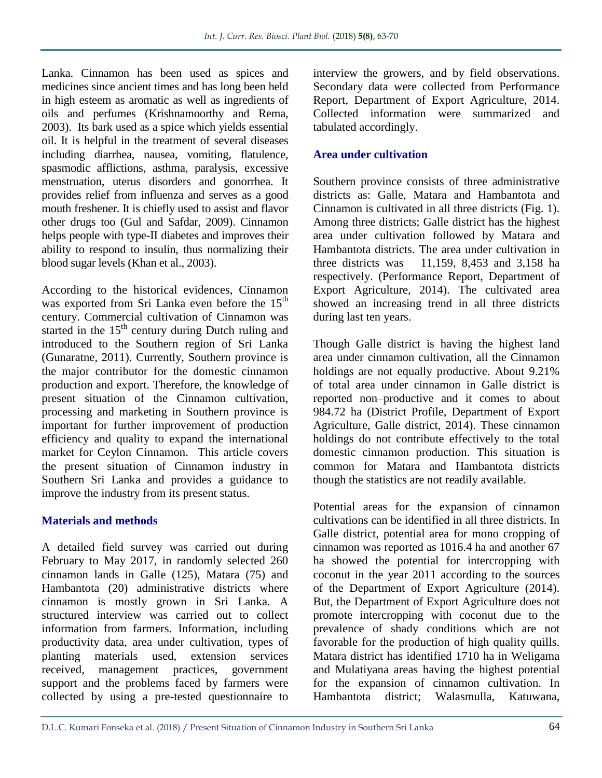Lanka. Cinnamon has been used as spices and medicines since ancient times and has long been held in high esteem as aromatic as well as ingredients of oils and perfumes (Krishnamoorthy and Rema, 2003). Its bark used as a spice which yields essential oil. It is helpful in the treatment of several diseases including diarrhea, nausea, vomiting, flatulence, spasmodic afflictions, asthma, paralysis, excessive menstruation, uterus disorders and gonorrhea. It provides relief from influenza and serves as a good mouth freshener. It is chiefly used to assist and flavor other drugs too (Gul and Safdar, 2009). Cinnamon helps people with type-II diabetes and improves their ability to respond to insulin, thus normalizing their blood sugar levels (Khan et al., 2003).

According to the historical evidences, Cinnamon was exported from Sri Lanka even before the  $15<sup>th</sup>$ century. Commercial cultivation of Cinnamon was started in the  $15<sup>th</sup>$  century during Dutch ruling and introduced to the Southern region of Sri Lanka (Gunaratne, 2011). Currently, Southern province is the major contributor for the domestic cinnamon production and export. Therefore, the knowledge of present situation of the Cinnamon cultivation, processing and marketing in Southern province is important for further improvement of production efficiency and quality to expand the international market for Ceylon Cinnamon. This article covers the present situation of Cinnamon industry in Southern Sri Lanka and provides a guidance to improve the industry from its present status.

#### **Materials and methods**

A detailed field survey was carried out during February to May 2017, in randomly selected 260 cinnamon lands in Galle (125), Matara (75) and Hambantota (20) administrative districts where cinnamon is mostly grown in Sri Lanka. A structured interview was carried out to collect information from farmers. Information, including productivity data, area under cultivation, types of planting materials used, extension services received, management practices, government support and the problems faced by farmers were collected by using a pre-tested questionnaire to

interview the growers, and by field observations. Secondary data were collected from Performance Report, Department of Export Agriculture, 2014. Collected information were summarized and tabulated accordingly.

### **Area under cultivation**

Southern province consists of three administrative districts as: Galle, Matara and Hambantota and Cinnamon is cultivated in all three districts (Fig. 1). Among three districts; Galle district has the highest area under cultivation followed by Matara and Hambantota districts. The area under cultivation in three districts was 11,159, 8,453 and 3,158 ha respectively. (Performance Report, Department of Export Agriculture, 2014). The cultivated area showed an increasing trend in all three districts during last ten years.

Though Galle district is having the highest land area under cinnamon cultivation, all the Cinnamon holdings are not equally productive. About 9.21% of total area under cinnamon in Galle district is reported non–productive and it comes to about 984.72 ha (District Profile, Department of Export Agriculture, Galle district, 2014). These cinnamon holdings do not contribute effectively to the total domestic cinnamon production. This situation is common for Matara and Hambantota districts though the statistics are not readily available.

Potential areas for the expansion of cinnamon cultivations can be identified in all three districts. In Galle district, potential area for mono cropping of cinnamon was reported as 1016.4 ha and another 67 ha showed the potential for intercropping with coconut in the year 2011 according to the sources of the Department of Export Agriculture (2014). But, the Department of Export Agriculture does not promote intercropping with coconut due to the prevalence of shady conditions which are not favorable for the production of high quality quills. Matara district has identified 1710 ha in Weligama and Mulatiyana areas having the highest potential for the expansion of cinnamon cultivation. In Hambantota district; Walasmulla, Katuwana,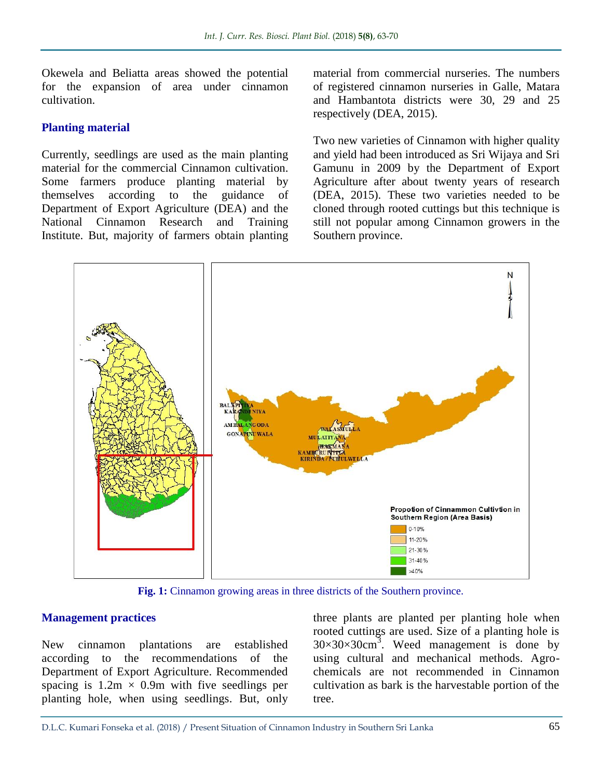Okewela and Beliatta areas showed the potential for the expansion of area under cinnamon cultivation.

#### **Planting material**

Currently, seedlings are used as the main planting material for the commercial Cinnamon cultivation. Some farmers produce planting material by themselves according to the guidance of Department of Export Agriculture (DEA) and the National Cinnamon Research and Training Institute. But, majority of farmers obtain planting material from commercial nurseries. The numbers of registered cinnamon nurseries in Galle, Matara and Hambantota districts were 30, 29 and 25 respectively (DEA, 2015).

Two new varieties of Cinnamon with higher quality and yield had been introduced as Sri Wijaya and Sri Gamunu in 2009 by the Department of Export Agriculture after about twenty years of research (DEA, 2015). These two varieties needed to be cloned through rooted cuttings but this technique is still not popular among Cinnamon growers in the Southern province.



**Fig. 1:** Cinnamon growing areas in three districts of the Southern province.

#### **Management practices**

New cinnamon plantations are established according to the recommendations of the Department of Export Agriculture. Recommended spacing is  $1.2m \times 0.9m$  with five seedlings per planting hole, when using seedlings. But, only

three plants are planted per planting hole when rooted cuttings are used. Size of a planting hole is  $30 \times 30 \times 30$ cm<sup>3</sup>. Weed management is done by using cultural and mechanical methods. Agrochemicals are not recommended in Cinnamon cultivation as bark is the harvestable portion of the tree.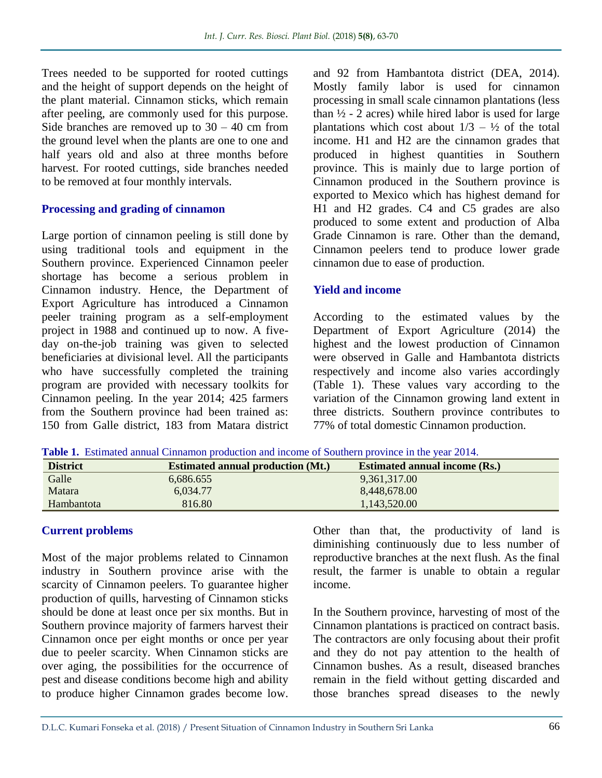Trees needed to be supported for rooted cuttings and the height of support depends on the height of the plant material. Cinnamon sticks, which remain after peeling, are commonly used for this purpose. Side branches are removed up to  $30 - 40$  cm from the ground level when the plants are one to one and half years old and also at three months before harvest. For rooted cuttings, side branches needed to be removed at four monthly intervals.

#### **Processing and grading of cinnamon**

Large portion of cinnamon peeling is still done by using traditional tools and equipment in the Southern province. Experienced Cinnamon peeler shortage has become a serious problem in Cinnamon industry. Hence, the Department of Export Agriculture has introduced a Cinnamon peeler training program as a self-employment project in 1988 and continued up to now. A fiveday on-the-job training was given to selected beneficiaries at divisional level. All the participants who have successfully completed the training program are provided with necessary toolkits for Cinnamon peeling. In the year 2014; 425 farmers from the Southern province had been trained as: 150 from Galle district, 183 from Matara district

and 92 from Hambantota district (DEA, 2014). Mostly family labor is used for cinnamon processing in small scale cinnamon plantations (less than  $\frac{1}{2}$  - 2 acres) while hired labor is used for large plantations which cost about  $1/3 - \frac{1}{2}$  of the total income. H1 and H2 are the cinnamon grades that produced in highest quantities in Southern province. This is mainly due to large portion of Cinnamon produced in the Southern province is exported to Mexico which has highest demand for H1 and H2 grades. C4 and C5 grades are also produced to some extent and production of Alba Grade Cinnamon is rare. Other than the demand, Cinnamon peelers tend to produce lower grade cinnamon due to ease of production.

#### **Yield and income**

According to the estimated values by the Department of Export Agriculture (2014) the highest and the lowest production of Cinnamon were observed in Galle and Hambantota districts respectively and income also varies accordingly (Table 1). These values vary according to the variation of the Cinnamon growing land extent in three districts. Southern province contributes to 77% of total domestic Cinnamon production.

**Table 1.** Estimated annual Cinnamon production and income of Southern province in the year 2014.

| <b>District</b> | <b>Estimated annual production (Mt.)</b> | <b>Estimated annual income (Rs.)</b> |
|-----------------|------------------------------------------|--------------------------------------|
| Galle           | 6,686.655                                | 9,361,317.00                         |
| Matara          | 6.034.77                                 | 8,448,678.00                         |
| Hambantota      | 816.80                                   | 1,143,520.00                         |

#### **Current problems**

Most of the major problems related to Cinnamon industry in Southern province arise with the scarcity of Cinnamon peelers. To guarantee higher production of quills, harvesting of Cinnamon sticks should be done at least once per six months. But in Southern province majority of farmers harvest their Cinnamon once per eight months or once per year due to peeler scarcity. When Cinnamon sticks are over aging, the possibilities for the occurrence of pest and disease conditions become high and ability to produce higher Cinnamon grades become low.

Other than that, the productivity of land is diminishing continuously due to less number of reproductive branches at the next flush. As the final result, the farmer is unable to obtain a regular income.

In the Southern province, harvesting of most of the Cinnamon plantations is practiced on contract basis. The contractors are only focusing about their profit and they do not pay attention to the health of Cinnamon bushes. As a result, diseased branches remain in the field without getting discarded and those branches spread diseases to the newly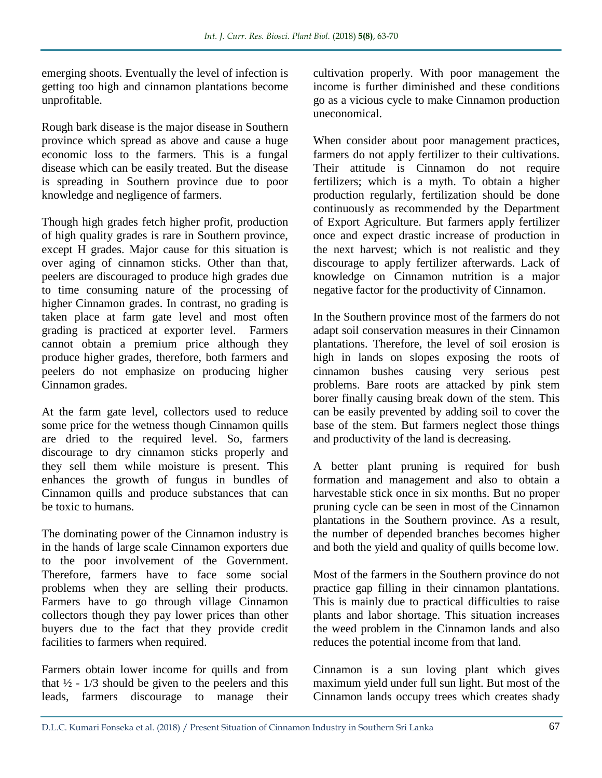emerging shoots. Eventually the level of infection is getting too high and cinnamon plantations become unprofitable.

Rough bark disease is the major disease in Southern province which spread as above and cause a huge economic loss to the farmers. This is a fungal disease which can be easily treated. But the disease is spreading in Southern province due to poor knowledge and negligence of farmers.

Though high grades fetch higher profit, production of high quality grades is rare in Southern province, except H grades. Major cause for this situation is over aging of cinnamon sticks. Other than that, peelers are discouraged to produce high grades due to time consuming nature of the processing of higher Cinnamon grades. In contrast, no grading is taken place at farm gate level and most often grading is practiced at exporter level. Farmers cannot obtain a premium price although they produce higher grades, therefore, both farmers and peelers do not emphasize on producing higher Cinnamon grades.

At the farm gate level, collectors used to reduce some price for the wetness though Cinnamon quills are dried to the required level. So, farmers discourage to dry cinnamon sticks properly and they sell them while moisture is present. This enhances the growth of fungus in bundles of Cinnamon quills and produce substances that can be toxic to humans.

The dominating power of the Cinnamon industry is in the hands of large scale Cinnamon exporters due to the poor involvement of the Government. Therefore, farmers have to face some social problems when they are selling their products. Farmers have to go through village Cinnamon collectors though they pay lower prices than other buyers due to the fact that they provide credit facilities to farmers when required.

Farmers obtain lower income for quills and from that  $\frac{1}{2}$  - 1/3 should be given to the peelers and this leads, farmers discourage to manage their cultivation properly. With poor management the income is further diminished and these conditions go as a vicious cycle to make Cinnamon production uneconomical.

When consider about poor management practices, farmers do not apply fertilizer to their cultivations. Their attitude is Cinnamon do not require fertilizers; which is a myth. To obtain a higher production regularly, fertilization should be done continuously as recommended by the Department of Export Agriculture. But farmers apply fertilizer once and expect drastic increase of production in the next harvest; which is not realistic and they discourage to apply fertilizer afterwards. Lack of knowledge on Cinnamon nutrition is a major negative factor for the productivity of Cinnamon.

In the Southern province most of the farmers do not adapt soil conservation measures in their Cinnamon plantations. Therefore, the level of soil erosion is high in lands on slopes exposing the roots of cinnamon bushes causing very serious pest problems. Bare roots are attacked by pink stem borer finally causing break down of the stem. This can be easily prevented by adding soil to cover the base of the stem. But farmers neglect those things and productivity of the land is decreasing.

A better plant pruning is required for bush formation and management and also to obtain a harvestable stick once in six months. But no proper pruning cycle can be seen in most of the Cinnamon plantations in the Southern province. As a result, the number of depended branches becomes higher and both the yield and quality of quills become low.

Most of the farmers in the Southern province do not practice gap filling in their cinnamon plantations. This is mainly due to practical difficulties to raise plants and labor shortage. This situation increases the weed problem in the Cinnamon lands and also reduces the potential income from that land.

Cinnamon is a sun loving plant which gives maximum yield under full sun light. But most of the Cinnamon lands occupy trees which creates shady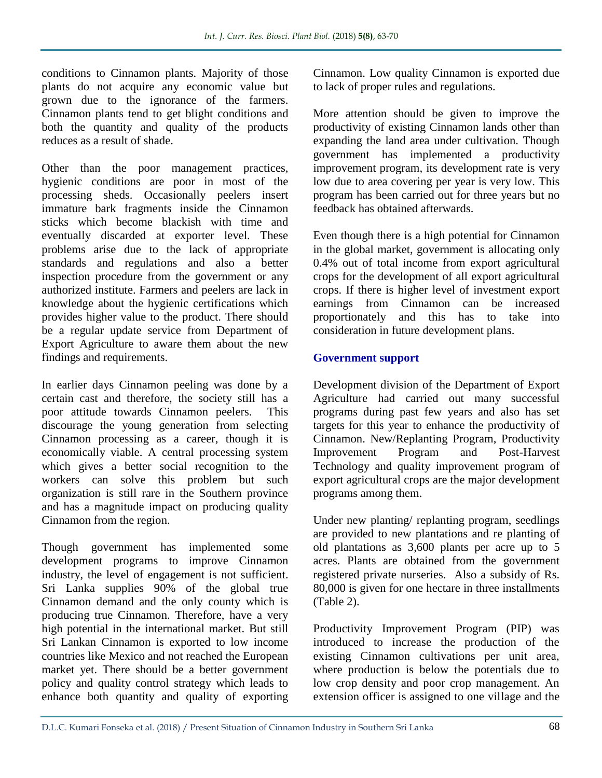conditions to Cinnamon plants. Majority of those plants do not acquire any economic value but grown due to the ignorance of the farmers. Cinnamon plants tend to get blight conditions and both the quantity and quality of the products reduces as a result of shade.

Other than the poor management practices, hygienic conditions are poor in most of the processing sheds. Occasionally peelers insert immature bark fragments inside the Cinnamon sticks which become blackish with time and eventually discarded at exporter level. These problems arise due to the lack of appropriate standards and regulations and also a better inspection procedure from the government or any authorized institute. Farmers and peelers are lack in knowledge about the hygienic certifications which provides higher value to the product. There should be a regular update service from Department of Export Agriculture to aware them about the new findings and requirements.

In earlier days Cinnamon peeling was done by a certain cast and therefore, the society still has a poor attitude towards Cinnamon peelers. This discourage the young generation from selecting Cinnamon processing as a career, though it is economically viable. A central processing system which gives a better social recognition to the workers can solve this problem but such organization is still rare in the Southern province and has a magnitude impact on producing quality Cinnamon from the region.

Though government has implemented some development programs to improve Cinnamon industry, the level of engagement is not sufficient. Sri Lanka supplies 90% of the global true Cinnamon demand and the only county which is producing true Cinnamon. Therefore, have a very high potential in the international market. But still Sri Lankan Cinnamon is exported to low income countries like Mexico and not reached the European market yet. There should be a better government policy and quality control strategy which leads to enhance both quantity and quality of exporting

Cinnamon. Low quality Cinnamon is exported due to lack of proper rules and regulations.

More attention should be given to improve the productivity of existing Cinnamon lands other than expanding the land area under cultivation. Though government has implemented a productivity improvement program, its development rate is very low due to area covering per year is very low. This program has been carried out for three years but no feedback has obtained afterwards.

Even though there is a high potential for Cinnamon in the global market, government is allocating only 0.4% out of total income from export agricultural crops for the development of all export agricultural crops. If there is higher level of investment export earnings from Cinnamon can be increased proportionately and this has to take into consideration in future development plans.

#### **Government support**

Development division of the Department of Export Agriculture had carried out many successful programs during past few years and also has set targets for this year to enhance the productivity of Cinnamon. New/Replanting Program, Productivity Improvement Program and Post-Harvest Technology and quality improvement program of export agricultural crops are the major development programs among them.

Under new planting/ replanting program, seedlings are provided to new plantations and re planting of old plantations as 3,600 plants per acre up to 5 acres. Plants are obtained from the government registered private nurseries. Also a subsidy of Rs. 80,000 is given for one hectare in three installments (Table 2).

Productivity Improvement Program (PIP) was introduced to increase the production of the existing Cinnamon cultivations per unit area, where production is below the potentials due to low crop density and poor crop management. An extension officer is assigned to one village and the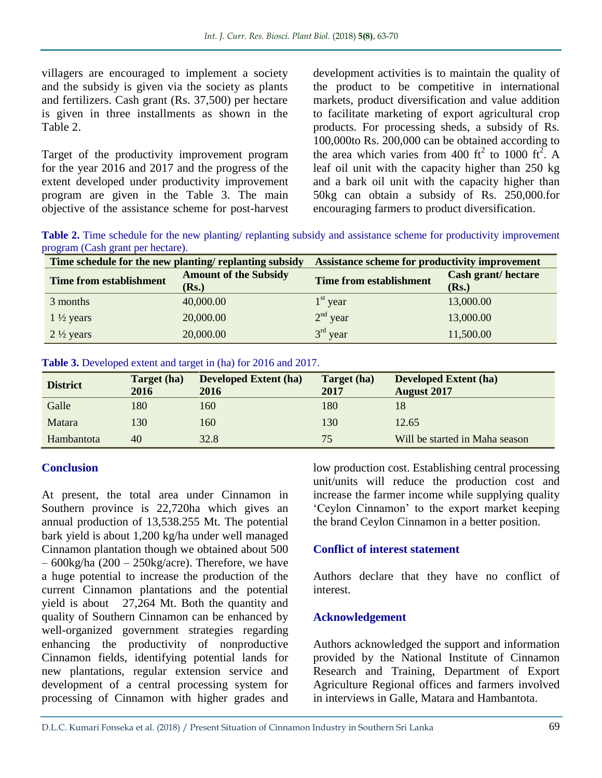villagers are encouraged to implement a society and the subsidy is given via the society as plants and fertilizers. Cash grant (Rs. 37,500) per hectare is given in three installments as shown in the Table 2.

Target of the productivity improvement program for the year 2016 and 2017 and the progress of the extent developed under productivity improvement program are given in the Table 3. The main objective of the assistance scheme for post-harvest

development activities is to maintain the quality of the product to be competitive in international markets, product diversification and value addition to facilitate marketing of export agricultural crop products. For processing sheds, a subsidy of Rs. 100,000to Rs. 200,000 can be obtained according to the area which varies from 400 ft<sup>2</sup> to 1000 ft<sup>2</sup>. A leaf oil unit with the capacity higher than 250 kg and a bark oil unit with the capacity higher than 50kg can obtain a subsidy of Rs. 250,000.for encouraging farmers to product diversification.

**Table 2.** Time schedule for the new planting/ replanting subsidy and assistance scheme for productivity improvement program (Cash grant per hectare).

| Time schedule for the new planting/ replanting subsidy |                              | Assistance scheme for productivity improvement |                    |  |
|--------------------------------------------------------|------------------------------|------------------------------------------------|--------------------|--|
| <b>Time from establishment</b>                         | <b>Amount of the Subsidy</b> | Time from establishment                        | Cash grant/hectare |  |
|                                                        | ( <b>Rs.</b> )               |                                                | (Rs.)              |  |
| 3 months                                               | 40,000.00                    | $1st$ year                                     | 13,000.00          |  |
| $1\frac{1}{2}$ years                                   | 20,000.00                    | $2nd$ year                                     | 13,000.00          |  |
| $2\frac{1}{2}$ years                                   | 20,000.00                    | $3rd$ year                                     | 11,500.00          |  |

| Table 3. Developed extent and target in (ha) for 2016 and 2017. |  |  |  |  |
|-----------------------------------------------------------------|--|--|--|--|
|-----------------------------------------------------------------|--|--|--|--|

| <b>District</b> | Target (ha)<br>2016 | <b>Developed Extent (ha)</b><br>2016 | Target (ha)<br>2017 | <b>Developed Extent (ha)</b><br><b>August 2017</b> |
|-----------------|---------------------|--------------------------------------|---------------------|----------------------------------------------------|
| Galle           | 180                 | 160                                  | 180                 | 18                                                 |
| <b>Matara</b>   | 130                 | 160                                  | 130                 | 12.65                                              |
| Hambantota      | 40                  | 32.8                                 | 75                  | Will be started in Maha season                     |

#### **Conclusion**

At present, the total area under Cinnamon in Southern province is 22,720ha which gives an annual production of 13,538.255 Mt. The potential bark yield is about 1,200 kg/ha under well managed Cinnamon plantation though we obtained about 500  $-600$ kg/ha (200 – 250kg/acre). Therefore, we have a huge potential to increase the production of the current Cinnamon plantations and the potential yield is about 27,264 Mt. Both the quantity and quality of Southern Cinnamon can be enhanced by well-organized government strategies regarding enhancing the productivity of nonproductive Cinnamon fields, identifying potential lands for new plantations, regular extension service and development of a central processing system for processing of Cinnamon with higher grades and

low production cost. Establishing central processing unit/units will reduce the production cost and increase the farmer income while supplying quality 'Ceylon Cinnamon' to the export market keeping the brand Ceylon Cinnamon in a better position.

#### **Conflict of interest statement**

Authors declare that they have no conflict of interest.

#### **Acknowledgement**

Authors acknowledged the support and information provided by the National Institute of Cinnamon Research and Training, Department of Export Agriculture Regional offices and farmers involved in interviews in Galle, Matara and Hambantota.